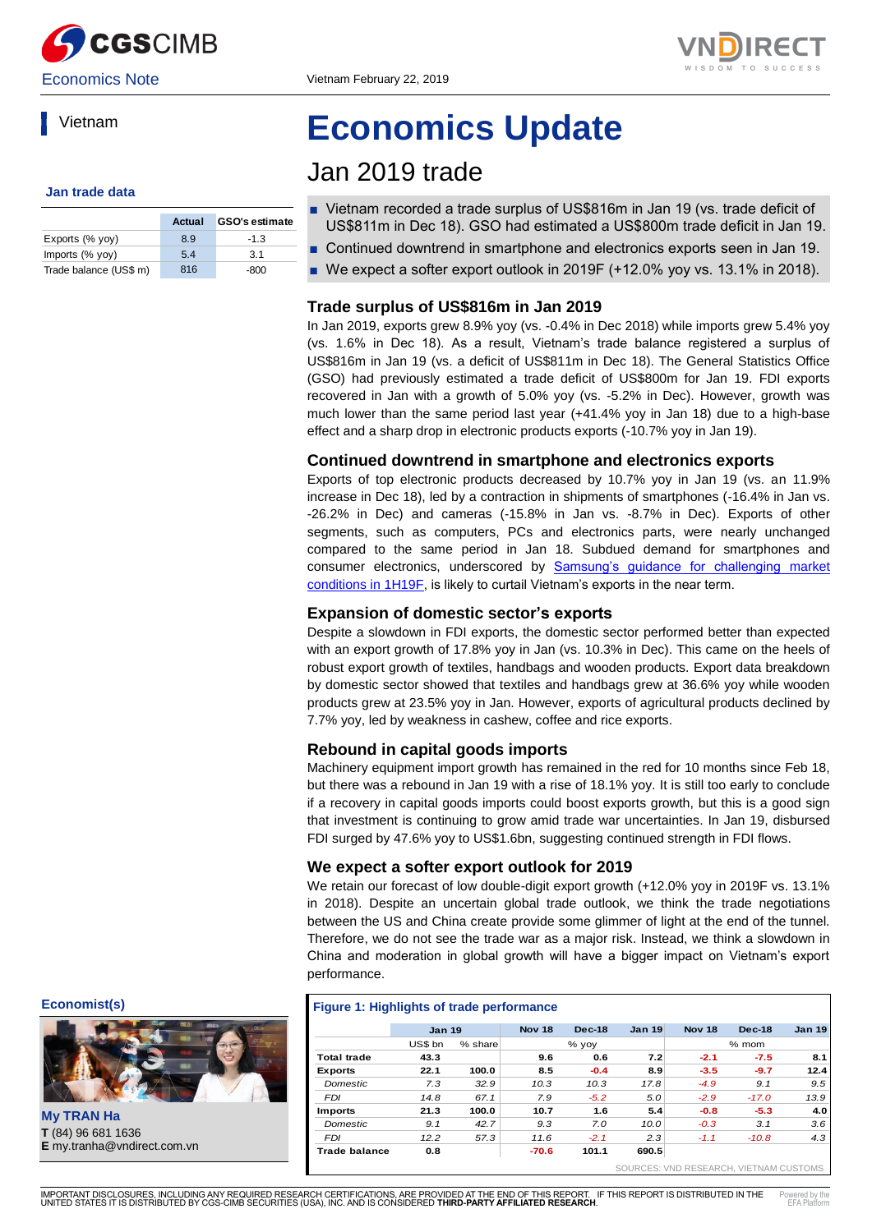



### Vietnam

#### **Jan trade data**

|                        | Actual | <b>GSO's estimate</b> |
|------------------------|--------|-----------------------|
| Exports (% yoy)        | 89     | $-1.3$                |
| Imports (% yoy)        | 5.4    | 31                    |
| Trade balance (US\$ m) | 816    | -800                  |

# **Economics Update**

## Jan 2019 trade

- Vietnam recorded a trade surplus of US\$816m in Jan 19 (vs. trade deficit of US\$811m in Dec 18). GSO had estimated a US\$800m trade deficit in Jan 19.
- Continued downtrend in smartphone and electronics exports seen in Jan 19.
- $\blacksquare$  We expect a softer export outlook in 2019F (+12.0% yoy vs. 13.1% in 2018).

#### **Trade surplus of US\$816m in Jan 2019**

In Jan 2019, exports grew 8.9% yoy (vs. -0.4% in Dec 2018) while imports grew 5.4% yoy (vs. 1.6% in Dec 18). As a result, Vietnam's trade balance registered a surplus of US\$816m in Jan 19 (vs. a deficit of US\$811m in Dec 18). The General Statistics Office (GSO) had previously estimated a trade deficit of US\$800m for Jan 19. FDI exports recovered in Jan with a growth of 5.0% yoy (vs. -5.2% in Dec). However, growth was much lower than the same period last year (+41.4% yoy in Jan 18) due to a high-base effect and a sharp drop in electronic products exports (-10.7% yoy in Jan 19).

#### **Continued downtrend in smartphone and electronics exports**

Exports of top electronic products decreased by 10.7% yoy in Jan 19 (vs. an 11.9% increase in Dec 18), led by a contraction in shipments of smartphones (-16.4% in Jan vs. -26.2% in Dec) and cameras (-15.8% in Jan vs. -8.7% in Dec). Exports of other segments, such as computers, PCs and electronics parts, were nearly unchanged compared to the same period in Jan 18. Subdued demand for smartphones and consumer electronics, underscored by [Samsung's guidance for challenging market](https://brokingrfs.cimb.com/1F6EzGhnjrvCSkNIpnyyCqQx_OOptftnf9Qtn_FQ1xNazqA_to0LcqnnKApcJ7-7drKL0h4qsiL-DbpH0.pdf)  [conditions in 1H19F,](https://brokingrfs.cimb.com/1F6EzGhnjrvCSkNIpnyyCqQx_OOptftnf9Qtn_FQ1xNazqA_to0LcqnnKApcJ7-7drKL0h4qsiL-DbpH0.pdf) is likely to curtail Vietnam's exports in the near term.

#### **Expansion of domestic sector's exports**

Despite a slowdown in FDI exports, the domestic sector performed better than expected with an export growth of 17.8% yoy in Jan (vs. 10.3% in Dec). This came on the heels of robust export growth of textiles, handbags and wooden products. Export data breakdown by domestic sector showed that textiles and handbags grew at 36.6% yoy while wooden products grew at 23.5% yoy in Jan. However, exports of agricultural products declined by 7.7% yoy, led by weakness in cashew, coffee and rice exports.

#### **Rebound in capital goods imports**

Machinery equipment import growth has remained in the red for 10 months since Feb 18, but there was a rebound in Jan 19 with a rise of 18.1% yoy. It is still too early to conclude if a recovery in capital goods imports could boost exports growth, but this is a good sign that investment is continuing to grow amid trade war uncertainties. In Jan 19, disbursed FDI surged by 47.6% yoy to US\$1.6bn, suggesting continued strength in FDI flows.

#### **We expect a softer export outlook for 2019**

We retain our forecast of low double-digit export growth (+12.0% yoy in 2019F vs. 13.1%) in 2018). Despite an uncertain global trade outlook, we think the trade negotiations between the US and China create provide some glimmer of light at the end of the tunnel. Therefore, we do not see the trade war as a major risk. Instead, we think a slowdown in China and moderation in global growth will have a bigger impact on Vietnam's export [performance.](file:///C:/Users/silsmd/AppData/Roaming/EFA/ignore) 

#### **[Figure 1: Highlights of trade performance](file:///C:/Users/silsmd/AppData/Roaming/EFA/ignore)**

|                    | <b>Jan 19</b> |         | <b>Nov 18</b> | $Dec-18$ | <b>Jan 19</b> | <b>Nov 18</b> | <b>Dec-18</b> | <b>Jan 19</b> |
|--------------------|---------------|---------|---------------|----------|---------------|---------------|---------------|---------------|
|                    | US\$ bn       | % share |               | % yoy    |               |               | $%$ mom       |               |
| <b>Total trade</b> | 43.3          |         | 9.6           | 0.6      | 7.2           | $-2.1$        | $-7.5$        | 8.1           |
| <b>Exports</b>     | 22.1          | 100.0   | 8.5           | $-0.4$   | 8.9           | $-3.5$        | $-9.7$        | 12.4          |
| <b>Domestic</b>    | 7.3           | 32.9    | 10.3          | 10.3     | 17.8          | $-4.9$        | 9.1           | 9.5           |
| <b>FDI</b>         | 14.8          | 67.1    | 7.9           | $-5.2$   | 5.0           | $-2.9$        | $-17.0$       | 13.9          |
| <b>Imports</b>     | 21.3          | 100.0   | 10.7          | 1.6      | 5.4           | $-0.8$        | $-5.3$        | 4.0           |
| <b>Domestic</b>    | 9.1           | 42.7    | 9.3           | 7.0      | 10.0          | $-0.3$        | 3.1           | 3.6           |
| <b>FDI</b>         | 12.2          | 57.3    | 11.6          | $-2.1$   | 2.3           | $-1.1$        | $-10.8$       | 4.3           |
| Trade balance      | 0.8           |         | $-70.6$       | 101.1    | 690.5         |               |               |               |
|                    |               |         |               |          |               |               |               |               |

**Economist(s)**



**My TRAN Ha T** (84) 96 681 1636<br>**E** my.tranha@vndirect.com.vn

 [SOURCES: VND RESEARCH, VIETNAM CUSTOMS](file:///C:/Users/silsmd/AppData/Roaming/EFA/ignore)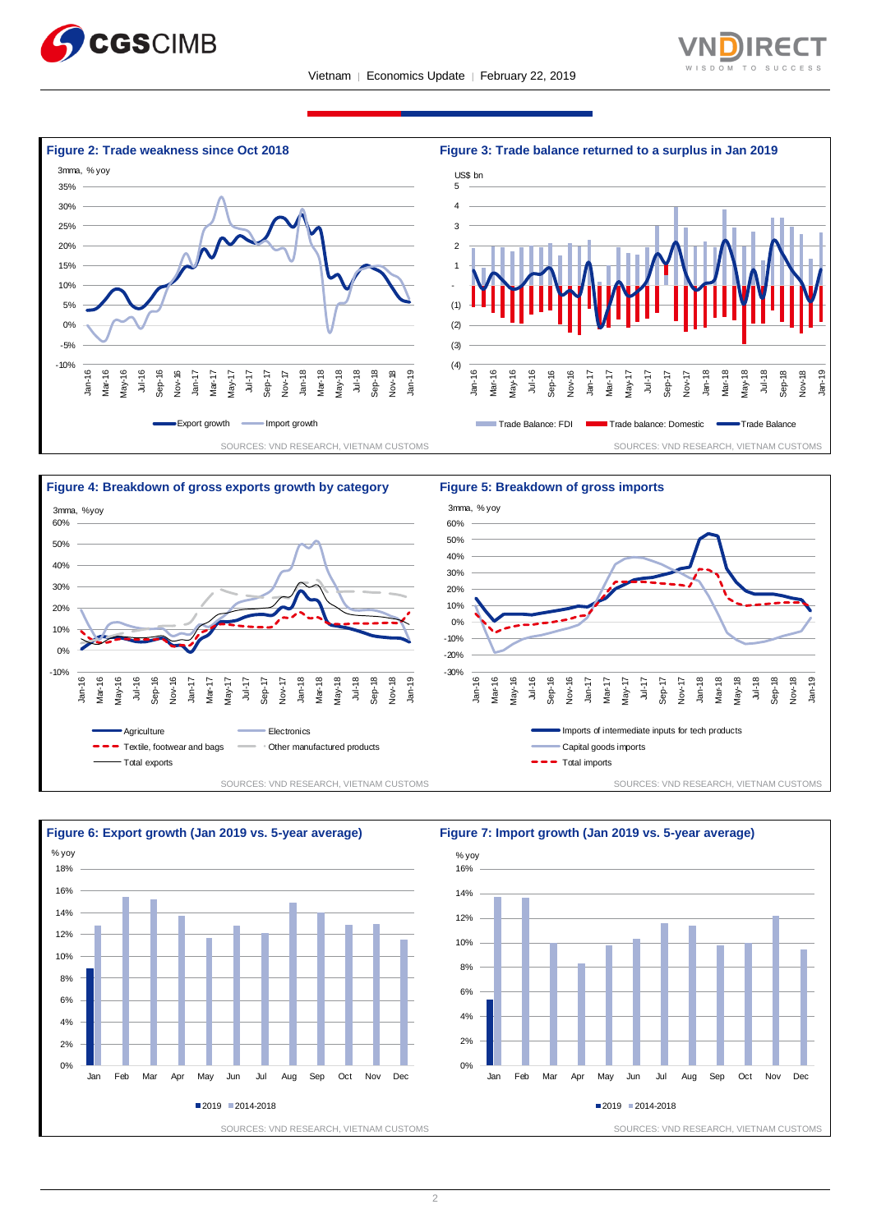









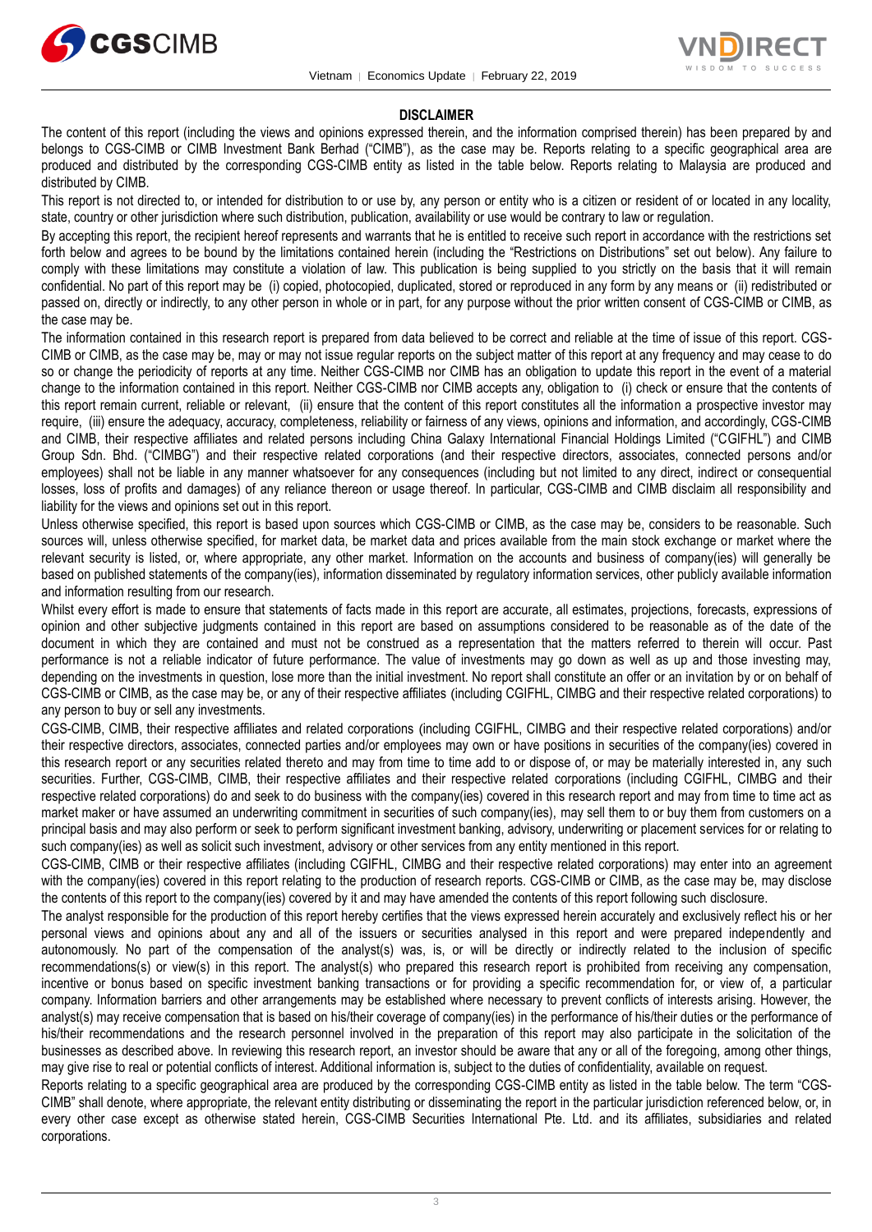



#### **DISCLAIMER**

The content of this report (including the views and opinions expressed therein, and the information comprised therein) has been prepared by and belongs to CGS-CIMB or CIMB Investment Bank Berhad ("CIMB"), as the case may be. Reports relating to a specific geographical area are produced and distributed by the corresponding CGS-CIMB entity as listed in the table below. Reports relating to Malaysia are produced and distributed by CIMB.

This report is not directed to, or intended for distribution to or use by, any person or entity who is a citizen or resident of or located in any locality, state, country or other jurisdiction where such distribution, publication, availability or use would be contrary to law or regulation.

By accepting this report, the recipient hereof represents and warrants that he is entitled to receive such report in accordance with the restrictions set forth below and agrees to be bound by the limitations contained herein (including the "Restrictions on Distributions" set out below). Any failure to comply with these limitations may constitute a violation of law. This publication is being supplied to you strictly on the basis that it will remain confidential. No part of this report may be (i) copied, photocopied, duplicated, stored or reproduced in any form by any means or (ii) redistributed or passed on, directly or indirectly, to any other person in whole or in part, for any purpose without the prior written consent of CGS-CIMB or CIMB, as the case may be.

The information contained in this research report is prepared from data believed to be correct and reliable at the time of issue of this report. CGS-CIMB or CIMB, as the case may be, may or may not issue regular reports on the subject matter of this report at any frequency and may cease to do so or change the periodicity of reports at any time. Neither CGS-CIMB nor CIMB has an obligation to update this report in the event of a material change to the information contained in this report. Neither CGS-CIMB nor CIMB accepts any, obligation to (i) check or ensure that the contents of this report remain current, reliable or relevant, (ii) ensure that the content of this report constitutes all the information a prospective investor may require, (iii) ensure the adequacy, accuracy, completeness, reliability or fairness of any views, opinions and information, and accordingly, CGS-CIMB and CIMB, their respective affiliates and related persons including China Galaxy International Financial Holdings Limited ("CGIFHL") and CIMB Group Sdn. Bhd. ("CIMBG") and their respective related corporations (and their respective directors, associates, connected persons and/or employees) shall not be liable in any manner whatsoever for any consequences (including but not limited to any direct, indirect or consequential losses, loss of profits and damages) of any reliance thereon or usage thereof. In particular, CGS-CIMB and CIMB disclaim all responsibility and liability for the views and opinions set out in this report.

Unless otherwise specified, this report is based upon sources which CGS-CIMB or CIMB, as the case may be, considers to be reasonable. Such sources will, unless otherwise specified, for market data, be market data and prices available from the main stock exchange or market where the relevant security is listed, or, where appropriate, any other market. Information on the accounts and business of company(ies) will generally be based on published statements of the company(ies), information disseminated by regulatory information services, other publicly available information and information resulting from our research.

Whilst every effort is made to ensure that statements of facts made in this report are accurate, all estimates, projections, forecasts, expressions of opinion and other subjective judgments contained in this report are based on assumptions considered to be reasonable as of the date of the document in which they are contained and must not be construed as a representation that the matters referred to therein will occur. Past performance is not a reliable indicator of future performance. The value of investments may go down as well as up and those investing may, depending on the investments in question, lose more than the initial investment. No report shall constitute an offer or an invitation by or on behalf of CGS-CIMB or CIMB, as the case may be, or any of their respective affiliates (including CGIFHL, CIMBG and their respective related corporations) to any person to buy or sell any investments.

CGS-CIMB, CIMB, their respective affiliates and related corporations (including CGIFHL, CIMBG and their respective related corporations) and/or their respective directors, associates, connected parties and/or employees may own or have positions in securities of the company(ies) covered in this research report or any securities related thereto and may from time to time add to or dispose of, or may be materially interested in, any such securities. Further, CGS-CIMB, CIMB, their respective affiliates and their respective related corporations (including CGIFHL, CIMBG and their respective related corporations) do and seek to do business with the company(ies) covered in this research report and may from time to time act as market maker or have assumed an underwriting commitment in securities of such company(ies), may sell them to or buy them from customers on a principal basis and may also perform or seek to perform significant investment banking, advisory, underwriting or placement services for or relating to such company(ies) as well as solicit such investment, advisory or other services from any entity mentioned in this report.

CGS-CIMB, CIMB or their respective affiliates (including CGIFHL, CIMBG and their respective related corporations) may enter into an agreement with the company(ies) covered in this report relating to the production of research reports. CGS-CIMB or CIMB, as the case may be, may disclose the contents of this report to the company(ies) covered by it and may have amended the contents of this report following such disclosure.

The analyst responsible for the production of this report hereby certifies that the views expressed herein accurately and exclusively reflect his or her personal views and opinions about any and all of the issuers or securities analysed in this report and were prepared independently and autonomously. No part of the compensation of the analyst(s) was, is, or will be directly or indirectly related to the inclusion of specific recommendations(s) or view(s) in this report. The analyst(s) who prepared this research report is prohibited from receiving any compensation, incentive or bonus based on specific investment banking transactions or for providing a specific recommendation for, or view of, a particular company. Information barriers and other arrangements may be established where necessary to prevent conflicts of interests arising. However, the analyst(s) may receive compensation that is based on his/their coverage of company(ies) in the performance of his/their duties or the performance of his/their recommendations and the research personnel involved in the preparation of this report may also participate in the solicitation of the businesses as described above. In reviewing this research report, an investor should be aware that any or all of the foregoing, among other things, may give rise to real or potential conflicts of interest. Additional information is, subject to the duties of confidentiality, available on request.

Reports relating to a specific geographical area are produced by the corresponding CGS-CIMB entity as listed in the table below. The term "CGS-CIMB" shall denote, where appropriate, the relevant entity distributing or disseminating the report in the particular jurisdiction referenced below, or, in every other case except as otherwise stated herein, CGS-CIMB Securities International Pte. Ltd. and its affiliates, subsidiaries and related corporations.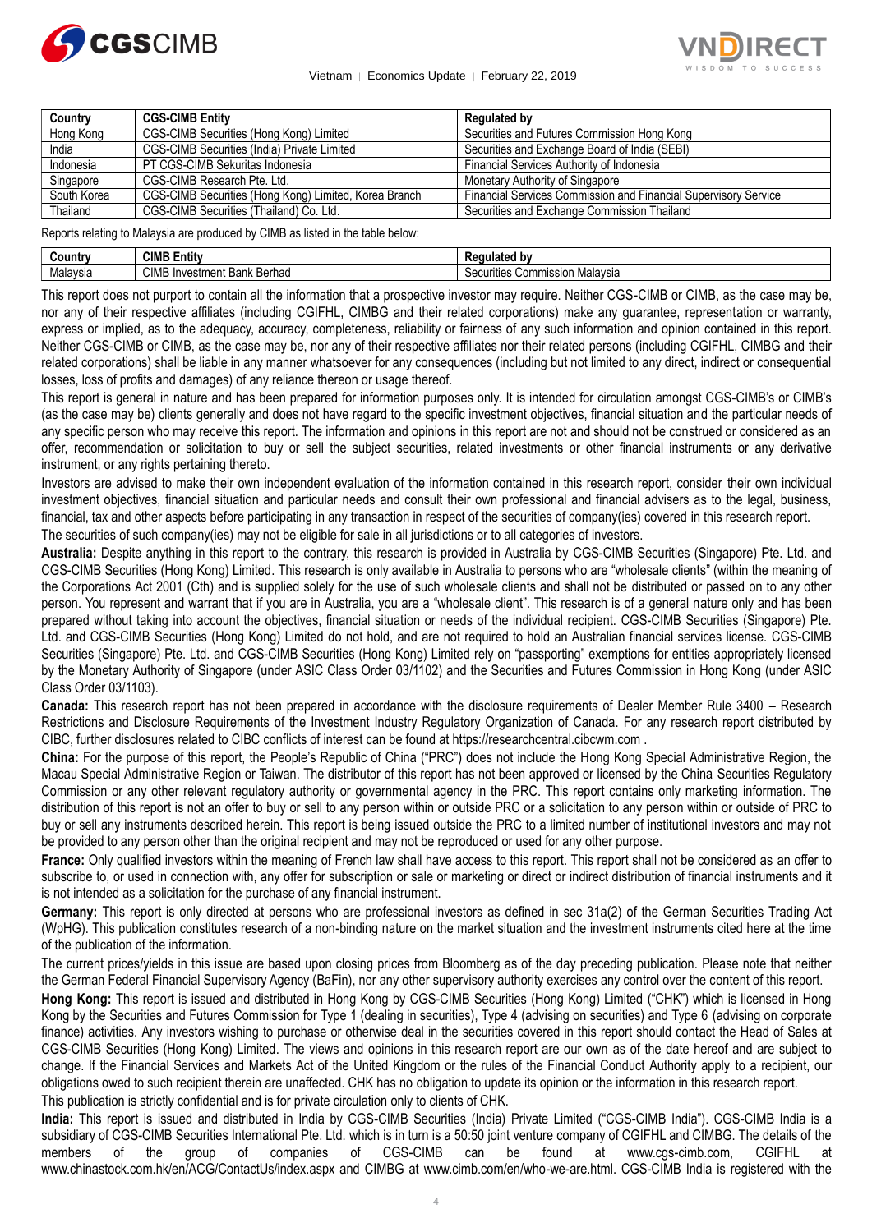

Vietnam │ Economics Update │ February 22, 2019



| Country     | <b>CGS-CIMB Entity</b>                                | Regulated by                                                    |
|-------------|-------------------------------------------------------|-----------------------------------------------------------------|
| Hong Kong   | CGS-CIMB Securities (Hong Kong) Limited               | Securities and Futures Commission Hong Kong                     |
| India       | CGS-CIMB Securities (India) Private Limited           | Securities and Exchange Board of India (SEBI)                   |
| Indonesia   | PT CGS-CIMB Sekuritas Indonesia                       | Financial Services Authority of Indonesia                       |
| Singapore   | CGS-CIMB Research Pte. Ltd.                           | Monetary Authority of Singapore                                 |
| South Korea | CGS-CIMB Securities (Hong Kong) Limited, Korea Branch | Financial Services Commission and Financial Supervisory Service |
| Thailand    | CGS-CIMB Securities (Thailand) Co. Ltd.               | Securities and Exchange Commission Thailand                     |

Reports relating to Malaysia are produced by CIMB as listed in the table below:

| じountrv  | CIMB<br>.<br>Entity                          | .                                                           |
|----------|----------------------------------------------|-------------------------------------------------------------|
| Malavsia | <b>CIME</b><br>Berhad<br>. Investment Bank F | $\cdots$<br>Malavsia<br>, Commission<br>$\sim$<br>ecurities |

This report does not purport to contain all the information that a prospective investor may require. Neither CGS-CIMB or CIMB, as the case may be, nor any of their respective affiliates (including CGIFHL, CIMBG and their related corporations) make any guarantee, representation or warranty, express or implied, as to the adequacy, accuracy, completeness, reliability or fairness of any such information and opinion contained in this report. Neither CGS-CIMB or CIMB, as the case may be, nor any of their respective affiliates nor their related persons (including CGIFHL, CIMBG and their related corporations) shall be liable in any manner whatsoever for any consequences (including but not limited to any direct, indirect or consequential losses, loss of profits and damages) of any reliance thereon or usage thereof.

This report is general in nature and has been prepared for information purposes only. It is intended for circulation amongst CGS-CIMB's or CIMB's (as the case may be) clients generally and does not have regard to the specific investment objectives, financial situation and the particular needs of any specific person who may receive this report. The information and opinions in this report are not and should not be construed or considered as an offer, recommendation or solicitation to buy or sell the subject securities, related investments or other financial instruments or any derivative instrument, or any rights pertaining thereto.

Investors are advised to make their own independent evaluation of the information contained in this research report, consider their own individual investment objectives, financial situation and particular needs and consult their own professional and financial advisers as to the legal, business, financial, tax and other aspects before participating in any transaction in respect of the securities of company(ies) covered in this research report.

The securities of such company(ies) may not be eligible for sale in all jurisdictions or to all categories of investors.

**Australia:** Despite anything in this report to the contrary, this research is provided in Australia by CGS-CIMB Securities (Singapore) Pte. Ltd. and CGS-CIMB Securities (Hong Kong) Limited. This research is only available in Australia to persons who are "wholesale clients" (within the meaning of the Corporations Act 2001 (Cth) and is supplied solely for the use of such wholesale clients and shall not be distributed or passed on to any other person. You represent and warrant that if you are in Australia, you are a "wholesale client". This research is of a general nature only and has been prepared without taking into account the objectives, financial situation or needs of the individual recipient. CGS-CIMB Securities (Singapore) Pte. Ltd. and CGS-CIMB Securities (Hong Kong) Limited do not hold, and are not required to hold an Australian financial services license. CGS-CIMB Securities (Singapore) Pte. Ltd. and CGS-CIMB Securities (Hong Kong) Limited rely on "passporting" exemptions for entities appropriately licensed by the Monetary Authority of Singapore (under ASIC Class Order 03/1102) and the Securities and Futures Commission in Hong Kong (under ASIC Class Order 03/1103).

**Canada:** This research report has not been prepared in accordance with the disclosure requirements of Dealer Member Rule 3400 – Research Restrictions and Disclosure Requirements of the Investment Industry Regulatory Organization of Canada. For any research report distributed by CIBC, further disclosures related to CIBC conflicts of interest can be found at https://researchcentral.cibcwm.com .

**China:** For the purpose of this report, the People's Republic of China ("PRC") does not include the Hong Kong Special Administrative Region, the Macau Special Administrative Region or Taiwan. The distributor of this report has not been approved or licensed by the China Securities Regulatory Commission or any other relevant regulatory authority or governmental agency in the PRC. This report contains only marketing information. The distribution of this report is not an offer to buy or sell to any person within or outside PRC or a solicitation to any person within or outside of PRC to buy or sell any instruments described herein. This report is being issued outside the PRC to a limited number of institutional investors and may not be provided to any person other than the original recipient and may not be reproduced or used for any other purpose.

**France:** Only qualified investors within the meaning of French law shall have access to this report. This report shall not be considered as an offer to subscribe to, or used in connection with, any offer for subscription or sale or marketing or direct or indirect distribution of financial instruments and it is not intended as a solicitation for the purchase of any financial instrument.

**Germany:** This report is only directed at persons who are professional investors as defined in sec 31a(2) of the German Securities Trading Act (WpHG). This publication constitutes research of a non-binding nature on the market situation and the investment instruments cited here at the time of the publication of the information.

The current prices/yields in this issue are based upon closing prices from Bloomberg as of the day preceding publication. Please note that neither the German Federal Financial Supervisory Agency (BaFin), nor any other supervisory authority exercises any control over the content of this report.

**Hong Kong:** This report is issued and distributed in Hong Kong by CGS-CIMB Securities (Hong Kong) Limited ("CHK") which is licensed in Hong Kong by the Securities and Futures Commission for Type 1 (dealing in securities), Type 4 (advising on securities) and Type 6 (advising on corporate finance) activities. Any investors wishing to purchase or otherwise deal in the securities covered in this report should contact the Head of Sales at CGS-CIMB Securities (Hong Kong) Limited. The views and opinions in this research report are our own as of the date hereof and are subject to change. If the Financial Services and Markets Act of the United Kingdom or the rules of the Financial Conduct Authority apply to a recipient, our obligations owed to such recipient therein are unaffected. CHK has no obligation to update its opinion or the information in this research report. This publication is strictly confidential and is for private circulation only to clients of CHK.

**India:** This report is issued and distributed in India by CGS-CIMB Securities (India) Private Limited ("CGS-CIMB India"). CGS-CIMB India is a subsidiary of CGS-CIMB Securities International Pte. Ltd. which is in turn is a 50:50 joint venture company of CGIFHL and CIMBG. The details of the members of the group of companies of CGS-CIMB can be found at www.cgs-cimb.com, CGIFHL at www.chinastock.com.hk/en/ACG/ContactUs/index.aspx and CIMBG at www.cimb.com/en/who-we-are.html. CGS-CIMB India is registered with the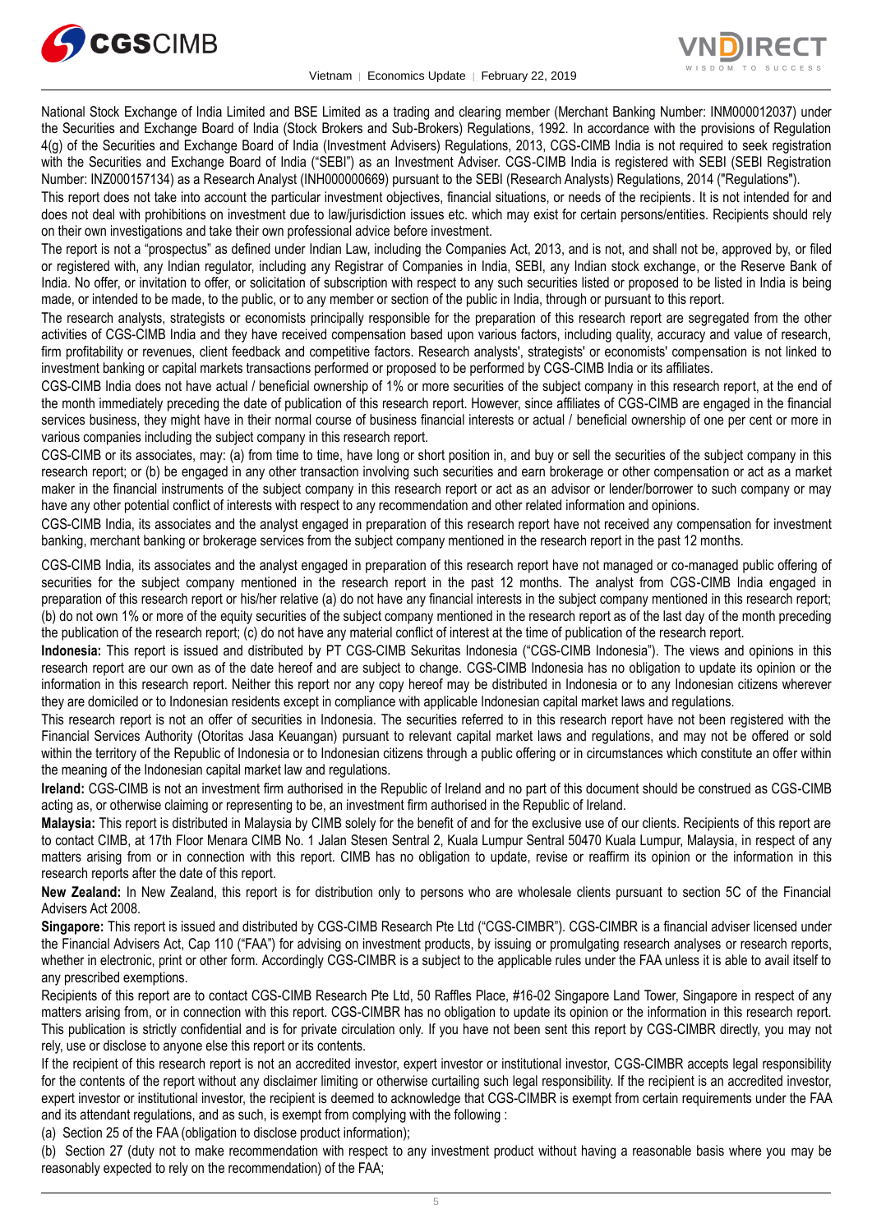



National Stock Exchange of India Limited and BSE Limited as a trading and clearing member (Merchant Banking Number: INM000012037) under the Securities and Exchange Board of India (Stock Brokers and Sub-Brokers) Regulations, 1992. In accordance with the provisions of Regulation 4(g) of the Securities and Exchange Board of India (Investment Advisers) Regulations, 2013, CGS-CIMB India is not required to seek registration with the Securities and Exchange Board of India ("SEBI") as an Investment Adviser. CGS-CIMB India is registered with SEBI (SEBI Registration Number: INZ000157134) as a Research Analyst (INH000000669) pursuant to the SEBI (Research Analysts) Regulations, 2014 ("Regulations").

This report does not take into account the particular investment objectives, financial situations, or needs of the recipients. It is not intended for and does not deal with prohibitions on investment due to law/jurisdiction issues etc. which may exist for certain persons/entities. Recipients should rely on their own investigations and take their own professional advice before investment.

The report is not a "prospectus" as defined under Indian Law, including the Companies Act, 2013, and is not, and shall not be, approved by, or filed or registered with, any Indian regulator, including any Registrar of Companies in India, SEBI, any Indian stock exchange, or the Reserve Bank of India. No offer, or invitation to offer, or solicitation of subscription with respect to any such securities listed or proposed to be listed in India is being made, or intended to be made, to the public, or to any member or section of the public in India, through or pursuant to this report.

The research analysts, strategists or economists principally responsible for the preparation of this research report are segregated from the other activities of CGS-CIMB India and they have received compensation based upon various factors, including quality, accuracy and value of research, firm profitability or revenues, client feedback and competitive factors. Research analysts', strategists' or economists' compensation is not linked to investment banking or capital markets transactions performed or proposed to be performed by CGS-CIMB India or its affiliates.

CGS-CIMB India does not have actual / beneficial ownership of 1% or more securities of the subject company in this research report, at the end of the month immediately preceding the date of publication of this research report. However, since affiliates of CGS-CIMB are engaged in the financial services business, they might have in their normal course of business financial interests or actual / beneficial ownership of one per cent or more in various companies including the subject company in this research report.

CGS-CIMB or its associates, may: (a) from time to time, have long or short position in, and buy or sell the securities of the subject company in this research report; or (b) be engaged in any other transaction involving such securities and earn brokerage or other compensation or act as a market maker in the financial instruments of the subject company in this research report or act as an advisor or lender/borrower to such company or may have any other potential conflict of interests with respect to any recommendation and other related information and opinions.

CGS-CIMB India, its associates and the analyst engaged in preparation of this research report have not received any compensation for investment banking, merchant banking or brokerage services from the subject company mentioned in the research report in the past 12 months.

CGS-CIMB India, its associates and the analyst engaged in preparation of this research report have not managed or co-managed public offering of securities for the subject company mentioned in the research report in the past 12 months. The analyst from CGS-CIMB India engaged in preparation of this research report or his/her relative (a) do not have any financial interests in the subject company mentioned in this research report; (b) do not own 1% or more of the equity securities of the subject company mentioned in the research report as of the last day of the month preceding the publication of the research report; (c) do not have any material conflict of interest at the time of publication of the research report.

**Indonesia:** This report is issued and distributed by PT CGS-CIMB Sekuritas Indonesia ("CGS-CIMB Indonesia"). The views and opinions in this research report are our own as of the date hereof and are subject to change. CGS-CIMB Indonesia has no obligation to update its opinion or the information in this research report. Neither this report nor any copy hereof may be distributed in Indonesia or to any Indonesian citizens wherever they are domiciled or to Indonesian residents except in compliance with applicable Indonesian capital market laws and regulations.

This research report is not an offer of securities in Indonesia. The securities referred to in this research report have not been registered with the Financial Services Authority (Otoritas Jasa Keuangan) pursuant to relevant capital market laws and regulations, and may not be offered or sold within the territory of the Republic of Indonesia or to Indonesian citizens through a public offering or in circumstances which constitute an offer within the meaning of the Indonesian capital market law and regulations.

**Ireland:** CGS-CIMB is not an investment firm authorised in the Republic of Ireland and no part of this document should be construed as CGS-CIMB acting as, or otherwise claiming or representing to be, an investment firm authorised in the Republic of Ireland.

**Malaysia:** This report is distributed in Malaysia by CIMB solely for the benefit of and for the exclusive use of our clients. Recipients of this report are to contact CIMB, at 17th Floor Menara CIMB No. 1 Jalan Stesen Sentral 2, Kuala Lumpur Sentral 50470 Kuala Lumpur, Malaysia, in respect of any matters arising from or in connection with this report. CIMB has no obligation to update, revise or reaffirm its opinion or the information in this research reports after the date of this report.

**New Zealand:** In New Zealand, this report is for distribution only to persons who are wholesale clients pursuant to section 5C of the Financial Advisers Act 2008.

**Singapore:** This report is issued and distributed by CGS-CIMB Research Pte Ltd ("CGS-CIMBR"). CGS-CIMBR is a financial adviser licensed under the Financial Advisers Act, Cap 110 ("FAA") for advising on investment products, by issuing or promulgating research analyses or research reports, whether in electronic, print or other form. Accordingly CGS-CIMBR is a subject to the applicable rules under the FAA unless it is able to avail itself to any prescribed exemptions.

Recipients of this report are to contact CGS-CIMB Research Pte Ltd, 50 Raffles Place, #16-02 Singapore Land Tower, Singapore in respect of any matters arising from, or in connection with this report. CGS-CIMBR has no obligation to update its opinion or the information in this research report. This publication is strictly confidential and is for private circulation only. If you have not been sent this report by CGS-CIMBR directly, you may not rely, use or disclose to anyone else this report or its contents.

If the recipient of this research report is not an accredited investor, expert investor or institutional investor, CGS-CIMBR accepts legal responsibility for the contents of the report without any disclaimer limiting or otherwise curtailing such legal responsibility. If the recipient is an accredited investor, expert investor or institutional investor, the recipient is deemed to acknowledge that CGS-CIMBR is exempt from certain requirements under the FAA and its attendant regulations, and as such, is exempt from complying with the following :

(a) Section 25 of the FAA (obligation to disclose product information);

(b) Section 27 (duty not to make recommendation with respect to any investment product without having a reasonable basis where you may be reasonably expected to rely on the recommendation) of the FAA;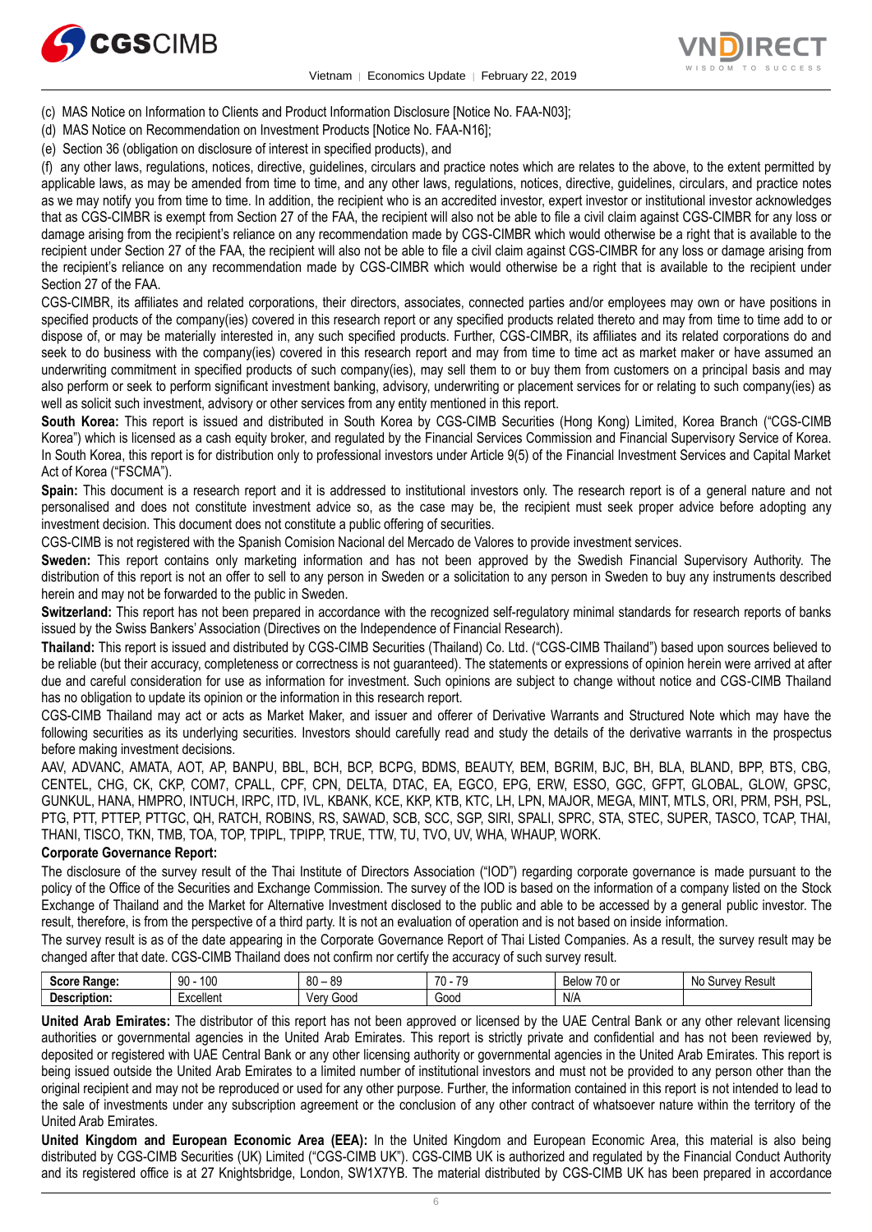

Vietnam │ Economics Update │ February 22, 2019



- (c) MAS Notice on Information to Clients and Product Information Disclosure [Notice No. FAA-N03];
- (d) MAS Notice on Recommendation on Investment Products [Notice No. FAA-N16];
- (e) Section 36 (obligation on disclosure of interest in specified products), and

(f) any other laws, regulations, notices, directive, guidelines, circulars and practice notes which are relates to the above, to the extent permitted by applicable laws, as may be amended from time to time, and any other laws, regulations, notices, directive, guidelines, circulars, and practice notes as we may notify you from time to time. In addition, the recipient who is an accredited investor, expert investor or institutional investor acknowledges that as CGS-CIMBR is exempt from Section 27 of the FAA, the recipient will also not be able to file a civil claim against CGS-CIMBR for any loss or damage arising from the recipient's reliance on any recommendation made by CGS-CIMBR which would otherwise be a right that is available to the recipient under Section 27 of the FAA, the recipient will also not be able to file a civil claim against CGS-CIMBR for any loss or damage arising from the recipient's reliance on any recommendation made by CGS-CIMBR which would otherwise be a right that is available to the recipient under Section 27 of the FAA.

CGS-CIMBR, its affiliates and related corporations, their directors, associates, connected parties and/or employees may own or have positions in specified products of the company(ies) covered in this research report or any specified products related thereto and may from time to time add to or dispose of, or may be materially interested in, any such specified products. Further, CGS-CIMBR, its affiliates and its related corporations do and seek to do business with the company(ies) covered in this research report and may from time to time act as market maker or have assumed an underwriting commitment in specified products of such company(ies), may sell them to or buy them from customers on a principal basis and may also perform or seek to perform significant investment banking, advisory, underwriting or placement services for or relating to such company(ies) as well as solicit such investment, advisory or other services from any entity mentioned in this report.

**South Korea:** This report is issued and distributed in South Korea by CGS-CIMB Securities (Hong Kong) Limited, Korea Branch ("CGS-CIMB Korea") which is licensed as a cash equity broker, and regulated by the Financial Services Commission and Financial Supervisory Service of Korea. In South Korea, this report is for distribution only to professional investors under Article 9(5) of the Financial Investment Services and Capital Market Act of Korea ("FSCMA").

**Spain:** This document is a research report and it is addressed to institutional investors only. The research report is of a general nature and not personalised and does not constitute investment advice so, as the case may be, the recipient must seek proper advice before adopting any investment decision. This document does not constitute a public offering of securities.

CGS-CIMB is not registered with the Spanish Comision Nacional del Mercado de Valores to provide investment services.

**Sweden:** This report contains only marketing information and has not been approved by the Swedish Financial Supervisory Authority. The distribution of this report is not an offer to sell to any person in Sweden or a solicitation to any person in Sweden to buy any instruments described herein and may not be forwarded to the public in Sweden.

**Switzerland:** This report has not been prepared in accordance with the recognized self-regulatory minimal standards for research reports of banks issued by the Swiss Bankers' Association (Directives on the Independence of Financial Research).

**Thailand:** This report is issued and distributed by CGS-CIMB Securities (Thailand) Co. Ltd. ("CGS-CIMB Thailand") based upon sources believed to be reliable (but their accuracy, completeness or correctness is not guaranteed). The statements or expressions of opinion herein were arrived at after due and careful consideration for use as information for investment. Such opinions are subject to change without notice and CGS-CIMB Thailand has no obligation to update its opinion or the information in this research report.

CGS-CIMB Thailand may act or acts as Market Maker, and issuer and offerer of Derivative Warrants and Structured Note which may have the following securities as its underlying securities. Investors should carefully read and study the details of the derivative warrants in the prospectus before making investment decisions.

AAV, ADVANC, AMATA, AOT, AP, BANPU, BBL, BCH, BCP, BCPG, BDMS, BEAUTY, BEM, BGRIM, BJC, BH, BLA, BLAND, BPP, BTS, CBG, CENTEL, CHG, CK, CKP, COM7, CPALL, CPF, CPN, DELTA, DTAC, EA, EGCO, EPG, ERW, ESSO, GGC, GFPT, GLOBAL, GLOW, GPSC, GUNKUL, HANA, HMPRO, INTUCH, IRPC, ITD, IVL, KBANK, KCE, KKP, KTB, KTC, LH, LPN, MAJOR, MEGA, MINT, MTLS, ORI, PRM, PSH, PSL, PTG, PTT, PTTEP, PTTGC, QH, RATCH, ROBINS, RS, SAWAD, SCB, SCC, SGP, SIRI, SPALI, SPRC, STA, STEC, SUPER, TASCO, TCAP, THAI, THANI, TISCO, TKN, TMB, TOA, TOP, TPIPL, TPIPP, TRUE, TTW, TU, TVO, UV, WHA, WHAUP, WORK.

#### **Corporate Governance Report:**

The disclosure of the survey result of the Thai Institute of Directors Association ("IOD") regarding corporate governance is made pursuant to the policy of the Office of the Securities and Exchange Commission. The survey of the IOD is based on the information of a company listed on the Stock Exchange of Thailand and the Market for Alternative Investment disclosed to the public and able to be accessed by a general public investor. The result, therefore, is from the perspective of a third party. It is not an evaluation of operation and is not based on inside information.

The survey result is as of the date appearing in the Corporate Governance Report of Thai Listed Companies. As a result, the survey result may be changed after that date. CGS-CIMB Thailand does not confirm nor certify the accuracy of such survey result.

| <b>Soore</b><br>:Range  | 100<br>90           | 0C<br>80<br>ಀಀ | 70<br>$\overline{\phantom{a}}$<br>. | $\sim$<br>$\prime$<br>۱٬۱۸<br>'U or<br>◡<br>r. | سمط<br>unvev<br>N0<br>nesu.<br>u |
|-------------------------|---------------------|----------------|-------------------------------------|------------------------------------------------|----------------------------------|
| <br>Description:<br>. . | <br>'-xcellent<br>. | 000نا<br>۷ar   | Good<br>.                           | N/L<br>N/M                                     |                                  |

**United Arab Emirates:** The distributor of this report has not been approved or licensed by the UAE Central Bank or any other relevant licensing authorities or governmental agencies in the United Arab Emirates. This report is strictly private and confidential and has not been reviewed by, deposited or registered with UAE Central Bank or any other licensing authority or governmental agencies in the United Arab Emirates. This report is being issued outside the United Arab Emirates to a limited number of institutional investors and must not be provided to any person other than the original recipient and may not be reproduced or used for any other purpose. Further, the information contained in this report is not intended to lead to the sale of investments under any subscription agreement or the conclusion of any other contract of whatsoever nature within the territory of the United Arab Emirates.

**United Kingdom and European Economic Area (EEA):** In the United Kingdom and European Economic Area, this material is also being distributed by CGS-CIMB Securities (UK) Limited ("CGS-CIMB UK"). CGS-CIMB UK is authorized and regulated by the Financial Conduct Authority and its registered office is at 27 Knightsbridge, London, SW1X7YB. The material distributed by CGS-CIMB UK has been prepared in accordance